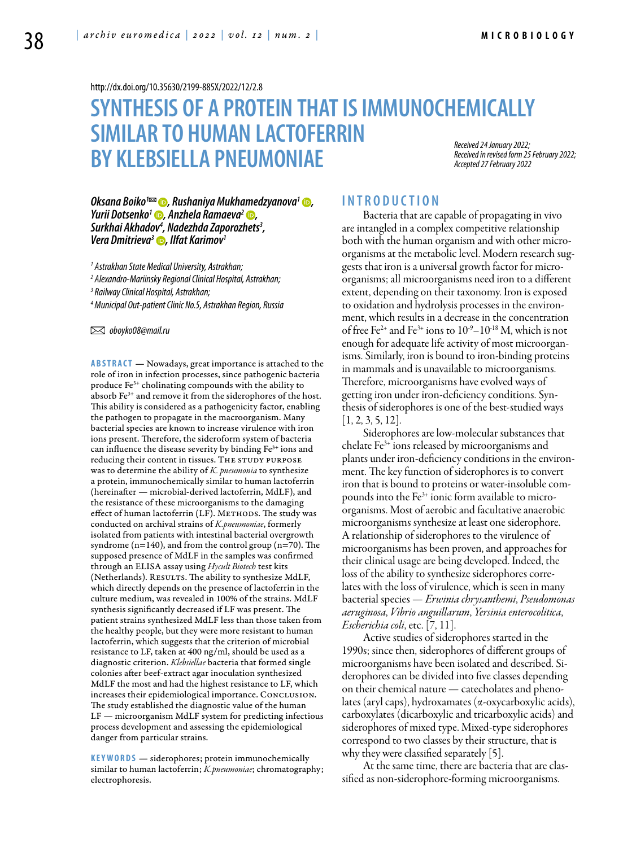<http://dx.doi.org/10.35630/2199-885X/2022/12/2.8>

# **SYNTHESIS OF A PROTEIN THAT IS IMMUNOCHEMICALLY SIMILAR TO HUMAN LACTOFERRIN BY KLEBSIELLA PNEUMONIAE** *Received 24 January 2022; Received in revised form 25 February 2022; Accepted 27 February 2022*

*Oksana Boiko<sup>1</sup> ©, [Rushaniya Mukhamedzyanova](https://orcid.org/0000-0001-7445-0598)<sup>1</sup> ©,<br>Yurii Dotsenko<sup>1</sup> ©, Anzhela Ramaeva<sup>2</sup> ©,<br>Surkhai Akhadov<sup>4</sup>, Nadezhda Zaporozhets<sup>3</sup>,<br>Vera Dmitrieva<sup>3</sup> ©, Ilfat Karimov<sup>1</sup> , Nadezhda Zaporozhets3 , [Vera Dmitrieva3](https://orcid.org/0000-0001-9548-499X) , Ilfat Karimov1*

*1 Astrakhan State Medical University, Astrakhan;* 

*2 Alexandro-Mariinsky Regional Clinical Hospital, Astrakhan;*

*3 Railway Clinical Hospital, Astrakhan;*

*4 Municipal Out-patient Clinic No.5, Astrakhan Region, Russia*

 *oboyko08@mail.ru* 

**Abstract** — Nowadays, great importance is attached to the role of iron in infection processes, since pathogenic bacteria produce Fe3+ cholinating compounds with the ability to absorb Fe<sup>3+</sup> and remove it from the siderophores of the host. This ability is considered as a pathogenicity factor, enabling the pathogen to propagate in the macroorganism. Many bacterial species are known to increase virulence with iron ions present. Therefore, the sideroform system of bacteria can influence the disease severity by binding Fe3+ ions and reducing their content in tissues. THE STUDY PURPOSE was to determine the ability of *K. pneumonia* to synthesize a protein, immunochemically similar to human lactoferrin (hereinafter — microbial-derived lactoferrin, MdLF), and the resistance of these microorganisms to the damaging effect of human lactoferrin (LF). METHODS. The study was conducted on archival strains of *K.pneumoniae*, formerly isolated from patients with intestinal bacterial overgrowth syndrome (n=140), and from the control group (n=70). The supposed presence of MdLF in the samples was confirmed through an ELISA assay using *Hycult Biotech* test kits (Netherlands). RESULTS. The ability to synthesize MdLF, which directly depends on the presence of lactoferrin in the culture medium, was revealed in 100% of the strains. MdLF synthesis significantly decreased if LF was present. The patient strains synthesized MdLF less than those taken from the healthy people, but they were more resistant to human lactoferrin, which suggests that the criterion of microbial resistance to LF, taken at 400 ng/ml, should be used as a diagnostic criterion. *Klebsiellae* bacteria that formed single colonies after beef-extract agar inoculation synthesized MdLF the most and had the highest resistance to LF, which increases their epidemiological importance. CONCLUSION. The study established the diagnostic value of the human LF — microorganism MdLF system for predicting infectious process development and assessing the epidemiological danger from particular strains.

**KEYWORDS** — siderophores; protein immunochemically similar to human lactoferrin; *K.pneumoniae*; chromatography; electrophoresis.

# **I n t r o ducti o n**

Bacteria that are capable of propagating in vivo are intangled in a complex competitive relationship both with the human organism and with other microorganisms at the metabolic level. Modern research suggests that iron is a universal growth factor for microorganisms; all microorganisms need iron to a different extent, depending on their taxonomy. Iron is exposed to oxidation and hydrolysis processes in the environment, which results in a decrease in the concentration of free Fe<sup>2+</sup> and Fe<sup>3+</sup> ions to  $10^{-9}-10^{-18}$  M, which is not enough for adequate life activity of most microorganisms. Similarly, iron is bound to iron-binding proteins in mammals and is unavailable to microorganisms. Therefore, microorganisms have evolved ways of getting iron under iron-deficiency conditions. Synthesis of siderophores is one of the best-studied ways  $[1, 2, 3, 5, 12]$ .

Siderophores are low-molecular substances that chelate Fe3+ ions released by microorganisms and plants under iron-deficiency conditions in the environment. The key function of siderophores is to convert iron that is bound to proteins or water-insoluble compounds into the Fe<sup>3+</sup> ionic form available to microorganisms. Most of aerobic and facultative anaerobic microorganisms synthesize at least one siderophore. A relationship of siderophores to the virulence of microorganisms has been proven, and approaches for their clinical usage are being developed. Indeed, the loss of the ability to synthesize siderophores correlates with the loss of virulence, which is seen in many bacterial species — *Erwinia chrysanthemi*, *Pseudomonas aeruginosa*, *Vibrio anguillarum*, *Yersinia enterocolitica*, *Escherichia coli*, etc. [7, 11].

Active studies of siderophores started in the 1990s; since then, siderophores of different groups of microorganisms have been isolated and described. Siderophores can be divided into five classes depending on their chemical nature — catecholates and phenolates (aryl caps), hydroxamates (α-oxycarboxylic acids), carboxylates (dicarboxylic and tricarboxylic acids) and siderophores of mixed type. Mixed-type siderophores correspond to two classes by their structure, that is why they were classified separately [5].

At the same time, there are bacteria that are classified as non-siderophore-forming microorganisms.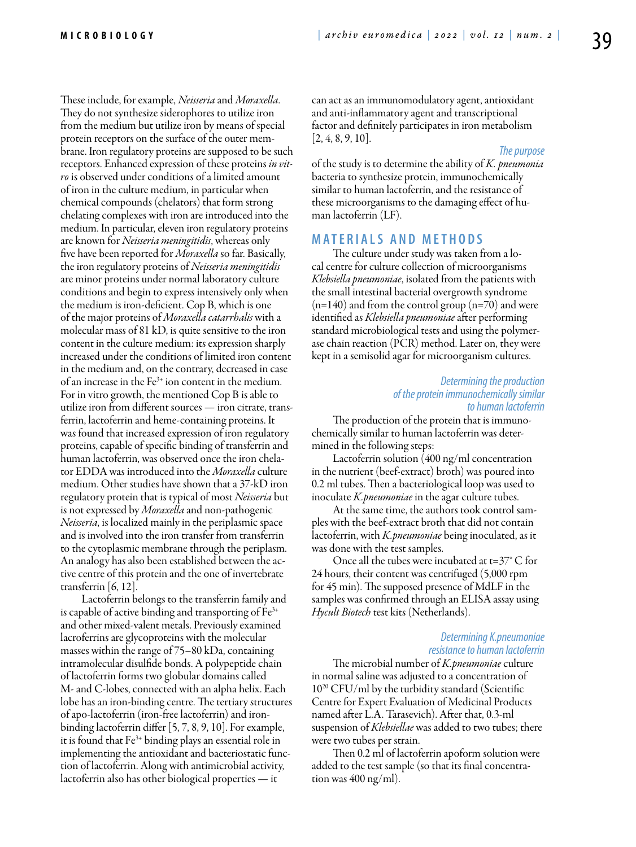These include, for example, *Neisseria* and *Moraxella*. They do not synthesize siderophores to utilize iron from the medium but utilize iron by means of special protein receptors on the surface of the outer membrane. Iron regulatory proteins are supposed to be such receptors. Enhanced expression of these proteins *in vitro* is observed under conditions of a limited amount of iron in the culture medium, in particular when chemical compounds (chelators) that form strong chelating complexes with iron are introduced into the medium. In particular, eleven iron regulatory proteins are known for *Neisseria meningitidis*, whereas only five have been reported for *Moraxella* so far. Basically, the iron regulatory proteins of *Neisseria meningitidis* are minor proteins under normal laboratory culture conditions and begin to express intensively only when the medium is iron-deficient. Cop B, which is one of the major proteins of *Moraxella catarrhalis* with a molecular mass of 81 kD, is quite sensitive to the iron content in the culture medium: its expression sharply increased under the conditions of limited iron content in the medium and, on the contrary, decreased in case of an increase in the  $Fe<sup>3+</sup>$  ion content in the medium. For in vitro growth, the mentioned Cop B is able to utilize iron from different sources — iron citrate, transferrin, lactoferrin and heme-containing proteins. It was found that increased expression of iron regulatory proteins, capable of specific binding of transferrin and human lactoferrin, was observed once the iron chelator EDDA was introduced into the *Moraxella* culture medium. Other studies have shown that a 37-kD iron regulatory protein that is typical of most *Neisseria* but is not expressed by *Moraxella* and non-pathogenic *Neisseria*, is localized mainly in the periplasmic space and is involved into the iron transfer from transferrin to the cytoplasmic membrane through the periplasm. An analogy has also been established between the active centre of this protein and the one of invertebrate transferrin [6, 12].

Lactoferrin belongs to the transferrin family and is capable of active binding and transporting of  $Fe<sup>3+</sup>$ and other mixed-valent metals. Previously examined lacroferrins are glycoproteins with the molecular masses within the range of 75–80 kDa, containing intramolecular disulfide bonds. A polypeptide chain of lactoferrin forms two globular domains called M- and C-lobes, connected with an alpha helix. Each lobe has an iron-binding centre. The tertiary structures of apo-lactoferrin (iron-free lactoferrin) and ironbinding lactoferrin differ [5, 7, 8, 9, 10]. For example, it is found that  $Fe<sup>3+</sup>$  binding plays an essential role in implementing the antioxidant and bacteriostatic function of lactoferrin. Along with antimicrobial activity, lactoferrin also has other biological properties — it

can act as an immunomodulatory agent, antioxidant and anti-inflammatory agent and transcriptional factor and definitely participates in iron metabolism  $[2, 4, 8, 9, 10]$ .

#### *The purpose*

of the study is to determine the ability of *K. pneumonia* bacteria to synthesize protein, immunochemically similar to human lactoferrin, and the resistance of these microorganisms to the damaging effect of human lactoferrin (LF).

## **Mat e rials a n d me t h o d s**

The culture under study was taken from a local centre for culture collection of microorganisms *Klebsiella pneumoniae*, isolated from the patients with the small intestinal bacterial overgrowth syndrome  $(n=140)$  and from the control group  $(n=70)$  and were identified as *Klebsiella pneumoniae* after performing standard microbiological tests and using the polymerase chain reaction (PCR) method. Later on, they were kept in a semisolid agar for microorganism cultures.

#### *Determining the production of the protein immunochemically similar to human lactoferrin*

The production of the protein that is immunochemically similar to human lactoferrin was determined in the following steps:

Lactoferrin solution (400 ng/ml concentration in the nutrient (beef-extract) broth) was poured into 0.2 ml tubes. Then a bacteriological loop was used to inoculate *K.pneumoniae* in the agar culture tubes.

At the same time, the authors took control samples with the beef-extract broth that did not contain lactoferrin, with *K.pneumoniae* being inoculated, as it was done with the test samples.

Once all the tubes were incubated at t=37° C for 24 hours, their content was centrifuged (5,000 rpm for 45 min). The supposed presence of MdLF in the samples was confirmed through an ELISA assay using *Hycult Biotech* test kits (Netherlands).

#### *Determining K.pneumoniae resistance to human lactoferrin*

The microbial number of *K.pneumoniae* culture in normal saline was adjusted to a concentration of 1020 CFU/ml by the turbidity standard (Scientific Centre for Expert Evaluation of Medicinal Products named after L.A. Tarasevich). After that, 0.3-ml suspension of *Klebsiellae* was added to two tubes; there were two tubes per strain.

Then 0.2 ml of lactoferrin apoform solution were added to the test sample (so that its final concentration was 400 ng/ml).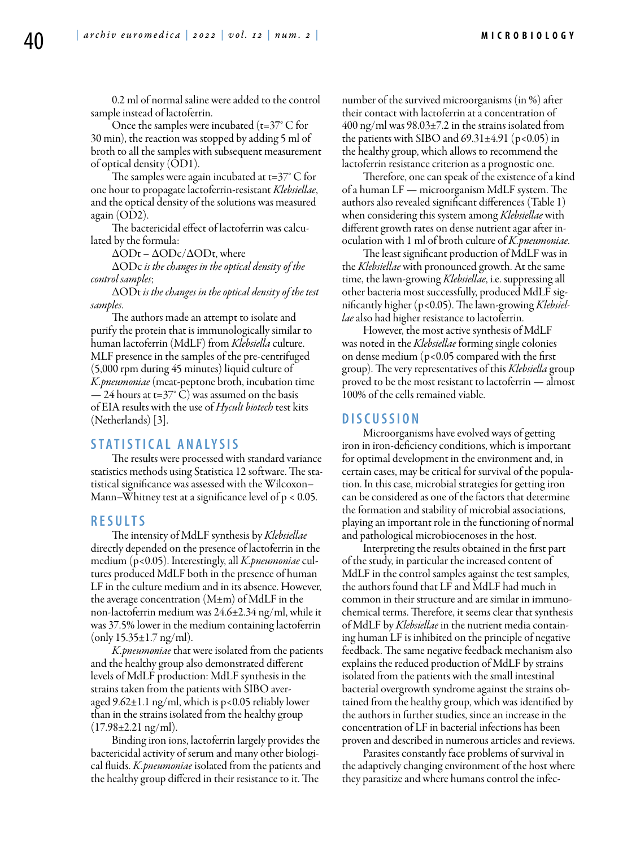0.2 ml of normal saline were added to the control sample instead of lactoferrin.

Once the samples were incubated ( $t=37^{\circ}$  C for 30 min), the reaction was stopped by adding 5 ml of broth to all the samples with subsequent measurement of optical density (OD1).

The samples were again incubated at  $t=37^{\circ}$  C for one hour to propagate lactoferrin-resistant *Klebsiellae*, and the optical density of the solutions was measured again (OD2).

The bactericidal effect of lactoferrin was calculated by the formula:

∆ODt – ∆ODc/∆ODt, where

∆ODc *is the changes in the optical density of the control samples*;

∆ODt *is the changes in the optical density of the test samples*.

The authors made an attempt to isolate and purify the protein that is immunologically similar to human lactoferrin (MdLF) from *Klebsiella* culture. MLF presence in the samples of the pre-centrifuged (5,000 rpm during 45 minutes) liquid culture of *K.pneumoniae* (meat-peptone broth, incubation time — 24 hours at t=37° C) was assumed on the basis of EIA results with the use of *Hycult biotech* test kits (Netherlands) [3].

# **Statis tical a n alysis**

The results were processed with standard variance statistics methods using Statistica 12 software. The statistical significance was assessed with the Wilcoxon– Mann–Whitney test at a significance level of p < 0.05.

### **R e s ult s**

The intensity of MdLF synthesis by *Klebsiellae* directly depended on the presence of lactoferrin in the medium (p<0.05). Interestingly, all *K.pneumoniae* cultures produced MdLF both in the presence of human LF in the culture medium and in its absence. However, the average concentration  $(M \pm m)$  of MdLF in the non-lactoferrin medium was 24.6±2.34 ng/ml, while it was 37.5% lower in the medium containing lactoferrin  $\text{(only 15.35±1.7 ng/ml)}$ .

*K.pneumoniae* that were isolated from the patients and the healthy group also demonstrated different levels of MdLF production: MdLF synthesis in the strains taken from the patients with SIBO averaged 9.62±1.1 ng/ml, which is p<0.05 reliably lower than in the strains isolated from the healthy group  $(17.98 \pm 2.21 \text{ ng/ml})$ .

Binding iron ions, lactoferrin largely provides the bactericidal activity of serum and many other biological fluids. *K.pneumoniae* isolated from the patients and the healthy group differed in their resistance to it. The

number of the survived microorganisms (in %) after their contact with lactoferrin at a concentration of 400 ng/ml was  $98.03 \pm 7.2$  in the strains isolated from the patients with SIBO and  $69.31 \pm 4.91$  (p<0.05) in the healthy group, which allows to recommend the lactoferrin resistance criterion as a prognostic one.

Therefore, one can speak of the existence of a kind of a human LF — microorganism MdLF system. The authors also revealed significant differences (Table 1) when considering this system among *Klebsiellae* with different growth rates on dense nutrient agar after inoculation with 1 ml of broth culture of *K.pneumoniae*.

The least significant production of MdLF was in the *Klebsiellae* with pronounced growth. At the same time, the lawn-growing *Klebsiellae*, i.e. suppressing all other bacteria most successfully, produced MdLF significantly higher (p<0.05). The lawn-growing *Klebsiellae* also had higher resistance to lactoferrin.

However, the most active synthesis of MdLF was noted in the *Klebsiellae* forming single colonies on dense medium (p<0.05 compared with the first group). The very representatives of this *Klebsiella* group proved to be the most resistant to lactoferrin — almost 100% of the cells remained viable.

#### **D iscu s si o n**

Microorganisms have evolved ways of getting iron in iron-deficiency conditions, which is important for optimal development in the environment and, in certain cases, may be critical for survival of the population. In this case, microbial strategies for getting iron can be considered as one of the factors that determine the formation and stability of microbial associations, playing an important role in the functioning of normal and pathological microbiocenoses in the host.

Interpreting the results obtained in the first part of the study, in particular the increased content of MdLF in the control samples against the test samples, the authors found that LF and MdLF had much in common in their structure and are similar in immunochemical terms. Therefore, it seems clear that synthesis of MdLF by *Klebsiellae* in the nutrient media containing human LF is inhibited on the principle of negative feedback. The same negative feedback mechanism also explains the reduced production of MdLF by strains isolated from the patients with the small intestinal bacterial overgrowth syndrome against the strains obtained from the healthy group, which was identified by the authors in further studies, since an increase in the concentration of LF in bacterial infections has been proven and described in numerous articles and reviews.

Parasites constantly face problems of survival in the adaptively changing environment of the host where they parasitize and where humans control the infec-